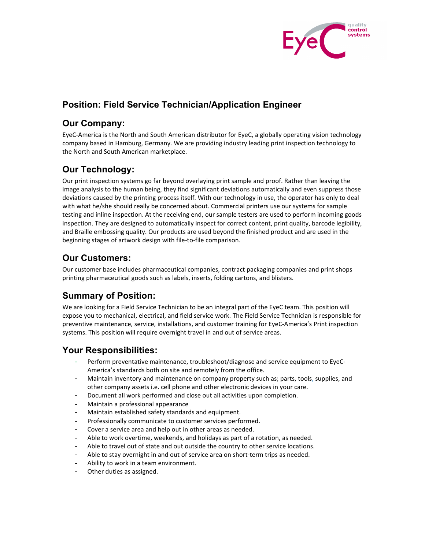

# **Position: Field Service Technician/Application Engineer**

## **Our Company:**

EyeC-America is the North and South American distributor for EyeC, a globally operating vision technology company based in Hamburg, Germany. We are providing industry leading print inspection technology to the North and South American marketplace.

# **Our Technology:**

Our print inspection systems go far beyond overlaying print sample and proof. Rather than leaving the image analysis to the human being, they find significant deviations automatically and even suppress those deviations caused by the printing process itself. With our technology in use, the operator has only to deal with what he/she should really be concerned about. Commercial printers use our systems for sample testing and inline inspection. At the receiving end, our sample testers are used to perform incoming goods inspection. They are designed to automatically inspect for correct content, print quality, barcode legibility, and Braille embossing quality. Our products are used beyond the finished product and are used in the beginning stages of artwork design with file-to-file comparison.

# **Our Customers:**

Our customer base includes pharmaceutical companies, contract packaging companies and print shops printing pharmaceutical goods such as labels, inserts, folding cartons, and blisters.

### **Summary of Position:**

We are looking for a Field Service Technician to be an integral part of the EyeC team. This position will expose you to mechanical, electrical, and field service work. The Field Service Technician is responsible for preventive maintenance, service, installations, and customer training for EyeC-America's Print inspection systems. This position will require overnight travel in and out of service areas.

### **Your Responsibilities:**

- Perform preventative maintenance, troubleshoot/diagnose and service equipment to EyeC-America's standards both on site and remotely from the office.
- Maintain inventory and maintenance on company property such as; parts, tools, supplies, and other company assets i.e. cell phone and other electronic devices in your care.
- Document all work performed and close out all activities upon completion.
- Maintain a professional appearance
- Maintain established safety standards and equipment.
- Professionally communicate to customer services performed.
- Cover a service area and help out in other areas as needed.
- Able to work overtime, weekends, and holidays as part of a rotation, as needed.
- Able to travel out of state and out outside the country to other service locations.
- Able to stay overnight in and out of service area on short-term trips as needed.
- Ability to work in a team environment.
- Other duties as assigned.